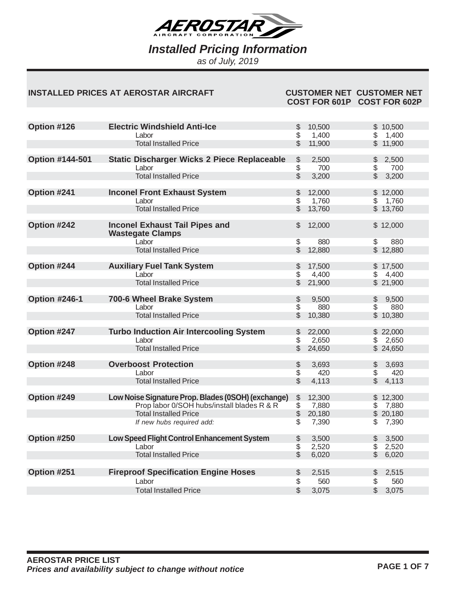

*as of July, 2019*

#### **INSTALLED PRICES AT AEROSTAR AIRCRAFT CUSTOMER NET CUSTOMER NET**

# **COST FOR 601P COST FOR 602P**

| Option #126            | <b>Electric Windshield Anti-Ice</b>                              | \$                 | 10,500          |                         | \$10,500          |
|------------------------|------------------------------------------------------------------|--------------------|-----------------|-------------------------|-------------------|
|                        | Labor                                                            | \$                 | 1,400           | \$                      | 1,400             |
|                        | <b>Total Installed Price</b>                                     | \$                 | 11,900          |                         | \$11,900          |
| <b>Option #144-501</b> | <b>Static Discharger Wicks 2 Piece Replaceable</b>               | \$                 | 2,500           | \$                      | 2,500             |
|                        | Labor                                                            | \$                 | 700             | \$                      | 700               |
|                        | <b>Total Installed Price</b>                                     | $\dot{\mathbb{S}}$ | 3,200           | $\mathbb{S}$            | 3,200             |
|                        |                                                                  |                    |                 |                         |                   |
| Option #241            | <b>Inconel Front Exhaust System</b><br>Labor                     | \$<br>\$           | 12,000<br>1,760 | $\sqrt[6]{\frac{1}{2}}$ | \$12,000<br>1,760 |
|                        | <b>Total Installed Price</b>                                     | \$                 | 13,760          |                         | \$13,760          |
|                        |                                                                  |                    |                 |                         |                   |
| Option #242            | <b>Inconel Exhaust Tail Pipes and</b><br><b>Wastegate Clamps</b> | \$                 | 12,000          |                         | \$12,000          |
|                        | Labor                                                            | \$                 | 880             | \$                      | 880               |
|                        | <b>Total Installed Price</b>                                     | \$                 | 12,880          |                         | \$12,880          |
|                        |                                                                  |                    |                 |                         |                   |
| Option #244            | <b>Auxiliary Fuel Tank System</b>                                | \$                 | 17,500          |                         | \$17,500          |
|                        | Labor                                                            | \$                 | 4,400           | \$                      | 4,400             |
|                        | <b>Total Installed Price</b>                                     | \$                 | 21,900          |                         | \$21,900          |
| <b>Option #246-1</b>   | 700-6 Wheel Brake System                                         |                    | 9,500           |                         | 9,500             |
|                        | Labor                                                            | \$<br>\$           | 880             | \$<br>\$                | 880               |
|                        | <b>Total Installed Price</b>                                     | \$                 | 10,380          |                         | \$10,380          |
|                        |                                                                  |                    |                 |                         |                   |
| Option #247            | <b>Turbo Induction Air Intercooling System</b>                   | \$                 | 22,000          |                         | \$22,000          |
|                        | Labor                                                            | \$                 | 2,650           | \$                      | 2,650             |
|                        | <b>Total Installed Price</b>                                     | \$                 | 24,650          |                         | \$24,650          |
|                        |                                                                  |                    |                 |                         |                   |
| Option #248            | <b>Overboost Protection</b>                                      | \$                 | 3,693           | \$                      | 3,693             |
|                        | Labor                                                            | \$                 | 420             | \$                      | 420               |
|                        | <b>Total Installed Price</b>                                     | \$                 | 4,113           | \$                      | 4,113             |
|                        |                                                                  |                    |                 |                         |                   |
| Option #249            | Low Noise Signature Prop. Blades (0SOH) (exchange)               | \$                 | 12,300          |                         | \$12,300          |
|                        | Prop labor 0/SOH hubs/install blades R & R                       | \$                 | 7,880           | \$                      | 7,880             |
|                        | <b>Total Installed Price</b>                                     | \$                 | 20,180          |                         | \$20,180          |
|                        | If new hubs required add:                                        | \$                 | 7,390           | \$                      | 7,390             |
| Option #250            | Low Speed Flight Control Enhancement System                      | \$                 | 3,500           | \$                      | 3,500             |
|                        | Labor                                                            | \$                 | 2,520           | $\sqrt[6]{\frac{1}{2}}$ | 2,520             |
|                        | <b>Total Installed Price</b>                                     | \$                 | 6,020           | $\mathcal{L}$           | 6,020             |
|                        |                                                                  |                    |                 |                         |                   |
| Option #251            | <b>Fireproof Specification Engine Hoses</b>                      | \$                 | 2,515           | \$                      | 2,515             |
|                        | Labor                                                            | \$                 | 560             | \$                      | 560               |
|                        | <b>Total Installed Price</b>                                     | \$                 | 3,075           | \$                      | 3,075             |
|                        |                                                                  |                    |                 |                         |                   |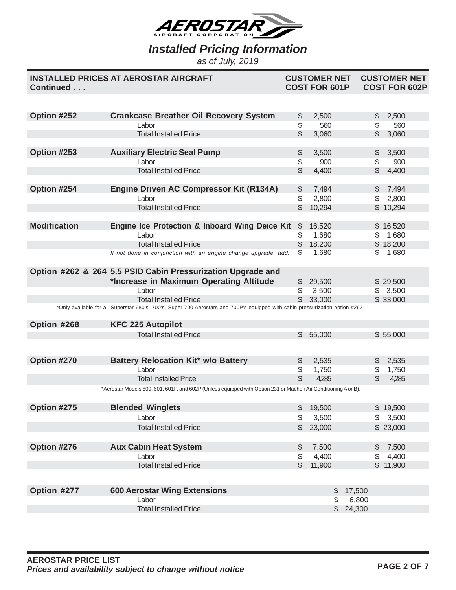

*as of July, 2019*

| Continued           | <b>INSTALLED PRICES AT AEROSTAR AIRCRAFT</b>                                                                                  |               | <b>CUSTOMER NET</b><br><b>COST FOR 601P</b> |          |               | <b>CUSTOMER NET</b><br><b>COST FOR 602P</b> |  |
|---------------------|-------------------------------------------------------------------------------------------------------------------------------|---------------|---------------------------------------------|----------|---------------|---------------------------------------------|--|
|                     |                                                                                                                               |               |                                             |          |               |                                             |  |
| Option #252         | <b>Crankcase Breather Oil Recovery System</b>                                                                                 | \$            | 2,500                                       |          | \$            | 2,500                                       |  |
|                     | Labor                                                                                                                         | \$            | 560                                         |          | \$            | 560                                         |  |
|                     | <b>Total Installed Price</b>                                                                                                  | $\mathcal{L}$ | 3,060                                       |          | $\mathbb{S}$  | 3,060                                       |  |
|                     |                                                                                                                               |               |                                             |          |               |                                             |  |
| Option #253         | <b>Auxiliary Electric Seal Pump</b>                                                                                           | \$            | 3,500                                       |          | \$            | 3,500                                       |  |
|                     | Labor                                                                                                                         | \$            | 900                                         |          | \$            | 900                                         |  |
|                     | <b>Total Installed Price</b>                                                                                                  | \$            | 4,400                                       |          | \$            | 4,400                                       |  |
|                     |                                                                                                                               |               |                                             |          |               |                                             |  |
| Option #254         | <b>Engine Driven AC Compressor Kit (R134A)</b>                                                                                | \$            | 7,494                                       |          | $\mathcal{L}$ | 7,494                                       |  |
|                     | Labor                                                                                                                         | \$            | 2,800                                       |          | \$            | 2,800                                       |  |
|                     | <b>Total Installed Price</b>                                                                                                  | $\mathbb{S}$  | 10,294                                      |          |               | \$10,294                                    |  |
| <b>Modification</b> |                                                                                                                               |               |                                             |          |               |                                             |  |
|                     | Engine Ice Protection & Inboard Wing Deice Kit                                                                                | $\mathbb{S}$  | 16,520                                      |          |               | \$16,520                                    |  |
|                     | Labor<br><b>Total Installed Price</b>                                                                                         | \$            | 1,680                                       |          | \$            | 1,680                                       |  |
|                     |                                                                                                                               | \$<br>S.      | 18,200<br>1,680                             |          | \$            | \$18,200                                    |  |
|                     | If not done in conjunction with an engine change upgrade, add:                                                                |               |                                             |          |               | 1,680                                       |  |
|                     | Option #262 & 264 5.5 PSID Cabin Pressurization Upgrade and                                                                   |               |                                             |          |               |                                             |  |
|                     | *Increase in Maximum Operating Altitude                                                                                       | \$            | 29,500                                      |          |               | \$29,500                                    |  |
|                     | Labor                                                                                                                         | \$            | 3,500                                       |          | \$            | 3,500                                       |  |
|                     | <b>Total Installed Price</b>                                                                                                  | \$            | 33,000                                      |          |               | \$33,000                                    |  |
|                     | *Only available for all Superstar 680's, 700's, Super 700 Aerostars and 700P's equipped with cabin pressurization option #262 |               |                                             |          |               |                                             |  |
| Option #268         | <b>KFC 225 Autopilot</b>                                                                                                      |               |                                             |          |               |                                             |  |
|                     | <b>Total Installed Price</b>                                                                                                  | \$            | 55,000                                      |          |               | \$55,000                                    |  |
|                     |                                                                                                                               |               |                                             |          |               |                                             |  |
|                     |                                                                                                                               |               |                                             |          |               |                                             |  |
| Option #270         | <b>Battery Relocation Kit* w/o Battery</b>                                                                                    | \$            | 2,535                                       |          | \$            | 2,535                                       |  |
|                     | Labor                                                                                                                         | \$            | 1,750                                       |          | \$            | 1,750                                       |  |
|                     | <b>Total Installed Price</b>                                                                                                  | $\mathcal{L}$ | 4,285                                       |          | $\mathcal{L}$ | 4,285                                       |  |
|                     | *Aerostar Models 600, 601, 601P, and 602P (Unless equipped with Option 231 or Machen Air Conditioning A or B).                |               |                                             |          |               |                                             |  |
|                     |                                                                                                                               |               |                                             |          |               |                                             |  |
| Option #275         | <b>Blended Winglets</b>                                                                                                       |               | 19,500                                      |          |               | \$19,500                                    |  |
|                     | Labor                                                                                                                         | \$            | 3,500                                       |          |               | \$3,500                                     |  |
|                     | <b>Total Installed Price</b>                                                                                                  | $\mathcal{L}$ | 23,000                                      |          |               | \$23,000                                    |  |
| Option #276         | <b>Aux Cabin Heat System</b>                                                                                                  | \$            | 7,500                                       |          | $\mathbb{S}$  | 7,500                                       |  |
|                     | Labor                                                                                                                         | \$            | 4,400                                       |          | $\mathcal{S}$ | 4,400                                       |  |
|                     | <b>Total Installed Price</b>                                                                                                  | $\mathbb{S}$  | 11,900                                      |          |               | \$11,900                                    |  |
|                     |                                                                                                                               |               |                                             |          |               |                                             |  |
|                     |                                                                                                                               |               |                                             |          |               |                                             |  |
| Option #277         | <b>600 Aerostar Wing Extensions</b>                                                                                           |               | \$                                          | 17,500   |               |                                             |  |
|                     | Labor                                                                                                                         |               | \$                                          | 6,800    |               |                                             |  |
|                     | <b>Total Installed Price</b>                                                                                                  |               |                                             | \$24,300 |               |                                             |  |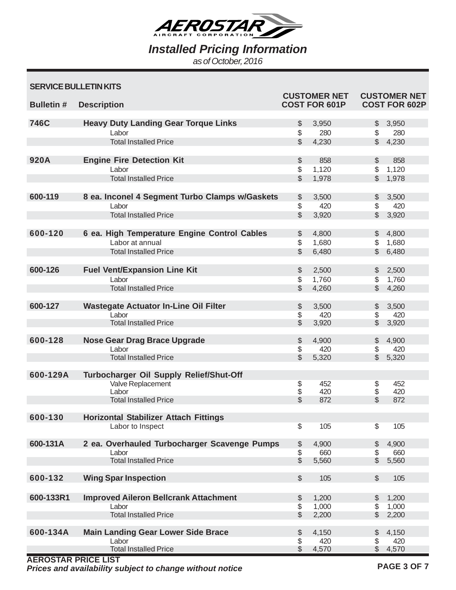

*Installed Pricing Information*

*as of October, 2016*

| <b>SERVICE BULLETIN KITS</b> |  |  |  |
|------------------------------|--|--|--|
|------------------------------|--|--|--|

| <b>Bulletin#</b>           | <b>Description</b>                                 |                                           | <b>CUSTOMER NET</b><br><b>COST FOR 601P</b> |                    | <b>CUSTOMER NET</b><br><b>COST FOR 602P</b> |
|----------------------------|----------------------------------------------------|-------------------------------------------|---------------------------------------------|--------------------|---------------------------------------------|
| 746C                       | <b>Heavy Duty Landing Gear Torque Links</b>        | \$                                        | 3,950                                       | $\frac{1}{2}$      | 3,950                                       |
|                            | Labor                                              | \$                                        | 280                                         | \$                 | 280                                         |
|                            | <b>Total Installed Price</b>                       | $\mathcal{L}$                             | 4,230                                       | $\mathbb{S}$       | 4,230                                       |
|                            |                                                    |                                           |                                             |                    |                                             |
| 920A                       | <b>Engine Fire Detection Kit</b>                   | \$                                        | 858                                         | $\$\$              | 858                                         |
|                            | Labor                                              | \$                                        | 1,120                                       | \$                 | 1,120                                       |
|                            | <b>Total Installed Price</b>                       | $\mathbb S$                               | 1,978                                       | $\mathbb{S}$       | 1,978                                       |
| 600-119                    | 8 ea. Inconel 4 Segment Turbo Clamps w/Gaskets     | $$\mathbb{S}$$                            | 3,500                                       | \$                 | 3,500                                       |
|                            | Labor                                              | \$                                        | 420                                         | \$                 | 420                                         |
|                            | <b>Total Installed Price</b>                       | $\mathbb{S}$                              | 3,920                                       | \$                 | 3,920                                       |
|                            |                                                    |                                           |                                             |                    |                                             |
| 600-120                    | 6 ea. High Temperature Engine Control Cables       | $\frac{1}{2}$                             | 4,800                                       | $\frac{1}{2}$      | 4,800                                       |
|                            | Labor at annual                                    | \$                                        | 1,680                                       | \$                 | 1,680                                       |
|                            | <b>Total Installed Price</b>                       | $\mathcal{L}$                             | 6,480                                       | $\mathbb{S}$       | 6,480                                       |
|                            |                                                    |                                           |                                             |                    |                                             |
| 600-126                    | <b>Fuel Vent/Expansion Line Kit</b>                | $\frac{1}{2}$                             | 2,500                                       | \$                 | 2,500                                       |
|                            | Labor                                              | $\sqrt{2}$                                | 1,760                                       | \$                 | 1,760                                       |
|                            | <b>Total Installed Price</b>                       | $\mathbb S$                               | 4,260                                       | $\mathbb{S}$       | 4,260                                       |
| 600-127                    | <b>Wastegate Actuator In-Line Oil Filter</b>       | \$                                        | 3,500                                       | \$                 | 3,500                                       |
|                            | Labor                                              | \$                                        | 420                                         | \$                 | 420                                         |
|                            | <b>Total Installed Price</b>                       | $\mathbb S$                               | 3,920                                       | $\mathfrak{S}$     | 3,920                                       |
|                            |                                                    |                                           |                                             |                    |                                             |
| 600-128                    | <b>Nose Gear Drag Brace Upgrade</b>                | \$                                        | 4,900                                       | $\$\$              | 4,900                                       |
|                            | Labor                                              | \$                                        | 420                                         | \$                 | 420                                         |
|                            | <b>Total Installed Price</b>                       | $\mathcal{L}$                             | 5,320                                       | $\mathbb{S}$       | 5,320                                       |
| 600-129A                   | Turbocharger Oil Supply Relief/Shut-Off            |                                           |                                             |                    |                                             |
|                            | Valve Replacement                                  | \$                                        | 452                                         | \$                 | 452                                         |
|                            | Labor                                              | \$                                        | 420                                         | \$                 | 420                                         |
|                            | <b>Total Installed Price</b>                       | \$                                        | 872                                         | \$                 | 872                                         |
| 600-130                    | <b>Horizontal Stabilizer Attach Fittings</b>       |                                           |                                             |                    |                                             |
|                            | Labor to Inspect                                   | \$                                        | 105                                         | \$                 | 105                                         |
|                            |                                                    |                                           |                                             |                    |                                             |
| 600-131A                   | 2 ea. Overhauled Turbocharger Scavenge Pumps       | $\, \, \raisebox{12pt}{$\scriptstyle \$}$ | 4,900                                       | $$\mathbb{S}$$     | 4,900                                       |
|                            | Labor                                              | $\, \, \raisebox{12pt}{$\scriptstyle \$}$ | 660                                         | \$                 | 660                                         |
|                            | <b>Total Installed Price</b>                       | $\mathcal{S}$                             | 5,560                                       | $\mathbb{S}$       | 5,560                                       |
| 600-132                    | <b>Wing Spar Inspection</b>                        | $\mathcal{L}$                             | 105                                         | $\$\$              | 105                                         |
|                            |                                                    |                                           |                                             |                    |                                             |
| 600-133R1                  | <b>Improved Aileron Bellcrank Attachment</b>       | \$                                        | 1,200                                       | \$                 | 1,200                                       |
|                            | Labor                                              | $\sqrt[6]{\frac{1}{2}}$                   | 1,000                                       | $$\mathbb{S}$$     | 1,000                                       |
|                            | <b>Total Installed Price</b>                       | $\mathcal{S}$                             | 2,200                                       | \$                 | 2,200                                       |
|                            |                                                    |                                           |                                             |                    |                                             |
| 600-134A                   | <b>Main Landing Gear Lower Side Brace</b><br>Labor | $\frac{1}{2}$                             | 4,150<br>420                                | \$                 | 4,150<br>420                                |
|                            | <b>Total Installed Price</b>                       | \$<br>$\mathbb S$                         | 4,570                                       | \$<br>$\mathbb{S}$ | 4,570                                       |
| <b>AEROSTAR PRICE LIST</b> |                                                    |                                           |                                             |                    |                                             |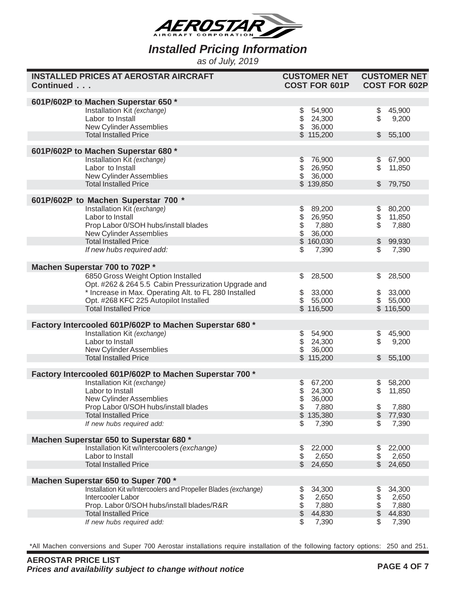

*as of July, 2019*

| <b>INSTALLED PRICES AT AEROSTAR AIRCRAFT</b><br>Continued                                      | <b>CUSTOMER NET</b><br><b>COST FOR 601P</b>                                                         | <b>CUSTOMER NET</b><br><b>COST FOR 602P</b> |
|------------------------------------------------------------------------------------------------|-----------------------------------------------------------------------------------------------------|---------------------------------------------|
| 601P/602P to Machen Superstar 650 *                                                            |                                                                                                     |                                             |
| Installation Kit (exchange)                                                                    | \$<br>54,900                                                                                        | \$<br>45,900                                |
| Labor to Install                                                                               | \$<br>24,300                                                                                        | \$<br>9,200                                 |
| New Cylinder Assemblies                                                                        | \$<br>36,000                                                                                        |                                             |
| <b>Total Installed Price</b>                                                                   | \$115,200                                                                                           | 55,100<br>$\frac{1}{2}$                     |
| 601P/602P to Machen Superstar 680 *                                                            |                                                                                                     |                                             |
| Installation Kit (exchange)                                                                    | 76,900<br>\$                                                                                        | 67,900<br>\$                                |
| Labor to Install                                                                               | \$<br>\$<br>26,950                                                                                  | \$<br>11,850                                |
| New Cylinder Assemblies                                                                        | 36,000                                                                                              |                                             |
| <b>Total Installed Price</b>                                                                   | \$139,850                                                                                           | 79,750<br>$\mathbb{S}$                      |
| 601P/602P to Machen Superstar 700 *                                                            |                                                                                                     |                                             |
| Installation Kit (exchange)                                                                    |                                                                                                     | 80,200<br>\$                                |
| Labor to Install                                                                               |                                                                                                     | \$<br>11,850                                |
| Prop Labor 0/SOH hubs/install blades                                                           |                                                                                                     | \$<br>7,880                                 |
| New Cylinder Assemblies<br><b>Total Installed Price</b>                                        | $\begin{array}{ccc} $ & 89,200 \\ $ & 26,950 \\ $ & 7,880 \\ $ & 36,000 \\ $ & 160,030 \end{array}$ | 99,930<br>\$                                |
| If new hubs required add:                                                                      | 7,390<br>\$                                                                                         | \$<br>7,390                                 |
|                                                                                                |                                                                                                     |                                             |
| Machen Superstar 700 to 702P *                                                                 |                                                                                                     |                                             |
| 6850 Gross Weight Option Installed                                                             | 28,500<br>\$                                                                                        | 28,500<br>\$                                |
| Opt. #262 & 264 5.5 Cabin Pressurization Upgrade and                                           |                                                                                                     |                                             |
| * Increase in Max. Operating Alt. to FL 280 Installed<br>Opt. #268 KFC 225 Autopilot Installed | 33,000<br>\$<br>\$<br>55,000                                                                        | 33,000<br>\$<br>\$55,000                    |
| <b>Total Installed Price</b>                                                                   | \$116,500                                                                                           | \$116,500                                   |
|                                                                                                |                                                                                                     |                                             |
| Factory Intercooled 601P/602P to Machen Superstar 680 *                                        |                                                                                                     |                                             |
| Installation Kit (exchange)                                                                    | 54,900<br>\$                                                                                        | 45,900<br>\$                                |
| Labor to Install                                                                               | \$<br>\$<br>24,300                                                                                  | \$<br>9,200                                 |
| New Cylinder Assemblies                                                                        | 36,000                                                                                              |                                             |
| <b>Total Installed Price</b>                                                                   | \$115,200                                                                                           | 55,100<br>\$                                |
| Factory Intercooled 601P/602P to Machen Superstar 700 *                                        |                                                                                                     |                                             |
| Installation Kit (exchange)                                                                    | 67,200<br>\$                                                                                        | 58,200<br>\$                                |
| Labor to Install                                                                               | \$<br>\$<br>24,300                                                                                  | \$<br>11,850                                |
| New Cylinder Assemblies                                                                        | 36,000                                                                                              |                                             |
| Prop Labor 0/SOH hubs/install blades<br><b>Total Installed Price</b>                           | \$<br>7,880<br>\$<br>135,380                                                                        | \$<br>7,880<br>\$<br>77,930                 |
| If new hubs required add:                                                                      | \$<br>7,390                                                                                         | 7,390<br>\$                                 |
|                                                                                                |                                                                                                     |                                             |
| Machen Superstar 650 to Superstar 680 *                                                        |                                                                                                     |                                             |
| Installation Kit w/Intercoolers (exchange)                                                     | \$<br>22,000                                                                                        | 22,000<br>\$                                |
| Labor to Install                                                                               | \$<br>2,650                                                                                         | 2,650<br>\$                                 |
| <b>Total Installed Price</b>                                                                   | \$<br>24,650                                                                                        | \$<br>24,650                                |
| Machen Superstar 650 to Super 700 *                                                            |                                                                                                     |                                             |
| Installation Kit w/Intercoolers and Propeller Blades (exchange)                                | 34,300<br>\$                                                                                        | 34,300<br>\$                                |
| Intercooler Labor                                                                              | \$<br>2,650                                                                                         | \$<br>2,650                                 |
| Prop. Labor 0/SOH hubs/install blades/R&R                                                      | \$<br>7,880                                                                                         | \$<br>7,880                                 |
| <b>Total Installed Price</b>                                                                   | \$<br>44,830                                                                                        | \$<br>44,830                                |
| If new hubs required add:                                                                      | \$<br>7,390                                                                                         | \$<br>7,390                                 |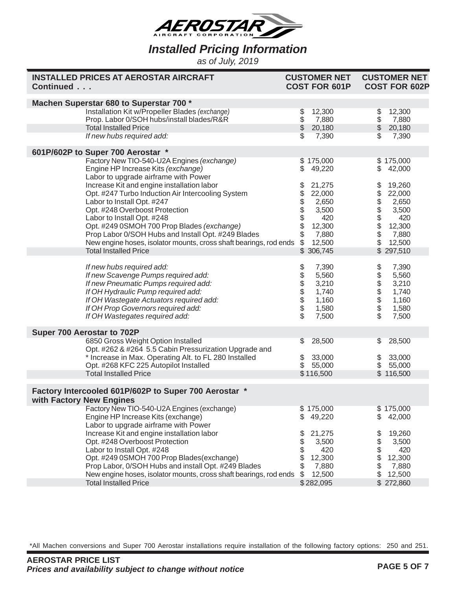

*as of July, 2019*

| <b>INSTALLED PRICES AT AEROSTAR AIRCRAFT</b><br>Continued                                                                                                                                                                                                                                                                                                                                                                                                                                                                                                               | <b>CUSTOMER NET</b><br><b>COST FOR 601P</b>                                                                                                       | <b>CUSTOMER NET</b><br><b>COST FOR 602P</b>                                                                                                      |
|-------------------------------------------------------------------------------------------------------------------------------------------------------------------------------------------------------------------------------------------------------------------------------------------------------------------------------------------------------------------------------------------------------------------------------------------------------------------------------------------------------------------------------------------------------------------------|---------------------------------------------------------------------------------------------------------------------------------------------------|--------------------------------------------------------------------------------------------------------------------------------------------------|
| Machen Superstar 680 to Superstar 700 *<br>Installation Kit w/Propeller Blades (exchange)<br>Prop. Labor 0/SOH hubs/install blades/R&R<br><b>Total Installed Price</b><br>If new hubs required add:                                                                                                                                                                                                                                                                                                                                                                     | \$<br>12,300<br>\$<br>7,880<br>$\ddot{\$}$<br>20,180<br>\$<br>7,390                                                                               | \$<br>12,300<br>$\frac{1}{2}$<br>7,880<br>\$20,180<br>7,390                                                                                      |
| 601P/602P to Super 700 Aerostar *<br>Factory New TIO-540-U2A Engines (exchange)<br>Engine HP Increase Kits (exchange)<br>Labor to upgrade airframe with Power<br>Increase Kit and engine installation labor<br>Opt. #247 Turbo Induction Air Intercooling System<br>Labor to Install Opt. #247<br>Opt. #248 Overboost Protection<br>Labor to Install Opt. #248<br>Opt. #249 0SMOH 700 Prop Blades (exchange)<br>Prop Labor 0/SOH Hubs and Install Opt. #249 Blades<br>New engine hoses, isolator mounts, cross shaft bearings, rod ends<br><b>Total Installed Price</b> | \$175,000<br>\$<br>49,220<br>\$<br>21,275<br>\$<br>22,000<br>2,650<br>\$\$<br>3,500<br>420<br>12,300<br>\$<br>7,880<br>\$<br>12,500<br>\$ 306,745 | \$175,000<br>\$<br>42,000<br>19,260<br>\$<br>\$<br>22,000<br>2,650<br>\$\$<br>3,500<br>420<br>12,300<br>\$<br>7,880<br>\$<br>12,500<br>\$297,510 |
| If new hubs required add:<br>If new Scavenge Pumps required add:<br>If new Pneumatic Pumps required add:<br>If OH Hydraulic Pump required add:<br>If OH Wastegate Actuators required add:<br>If OH Prop Governors required add:<br>If OH Wastegates required add:                                                                                                                                                                                                                                                                                                       | \$\$\$\$\$\$<br>7,390<br>5,560<br>3,210<br>1,740<br>1,160<br>1,580<br>\$<br>7,500                                                                 | \$<br>7,390<br>\$\$\$\$<br>5,560<br>3,210<br>1,740<br>1,160<br>\$<br>1,580<br>7,500                                                              |
| Super 700 Aerostar to 702P<br>6850 Gross Weight Option Installed<br>Opt. #262 & #264 5.5 Cabin Pressurization Upgrade and<br>* Increase in Max. Operating Alt. to FL 280 Installed<br>Opt. #268 KFC 225 Autopilot Installed<br><b>Total Installed Price</b>                                                                                                                                                                                                                                                                                                             | 28,500<br>\$<br>\$<br>33,000<br>$\mathfrak{S}$<br>55,000<br>\$116,500                                                                             | 28,500<br>\$<br>33,000<br>\$<br>$\frac{1}{2}$<br>55,000<br>\$116,500                                                                             |
| Factory Intercooled 601P/602P to Super 700 Aerostar *<br>with Factory New Engines<br>Factory New TIO-540-U2A Engines (exchange)<br>Engine HP Increase Kits (exchange)<br>Labor to upgrade airframe with Power<br>Increase Kit and engine installation labor<br>Opt. #248 Overboost Protection<br>Labor to Install Opt. #248<br>Opt. #249 0SMOH 700 Prop Blades(exchange)<br>Prop Labor, 0/SOH Hubs and install Opt. #249 Blades                                                                                                                                         | \$175,000<br>\$<br>49,220<br>\$<br>21,275<br>\$<br>3,500<br>\$<br>420<br>\$<br>12,300<br>\$<br>7,880                                              | \$175,000<br>42,000<br>S<br>19,260<br>\$<br>\$<br>3,500<br>\$<br>420<br>12,300<br>\$<br>7,880                                                    |
| New engine hoses, isolator mounts, cross shaft bearings, rod ends<br><b>Total Installed Price</b>                                                                                                                                                                                                                                                                                                                                                                                                                                                                       | \$<br>12,500<br>\$282,095                                                                                                                         | \$<br>12,500<br>\$272,860                                                                                                                        |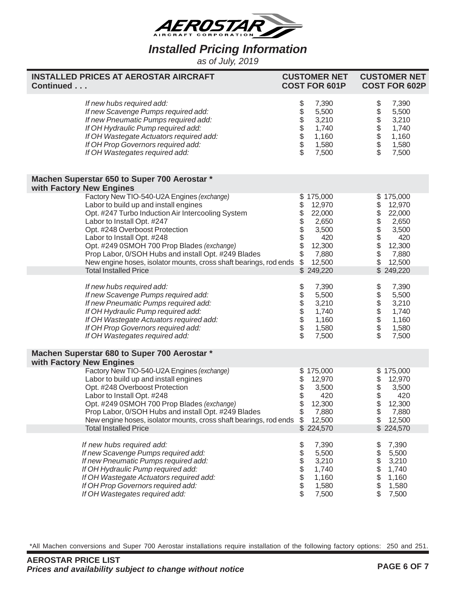

*as of July, 2019*

| <b>INSTALLED PRICES AT AEROSTAR AIRCRAFT</b><br>Continued                                                                                                                                                                                                                                                                                                                                                                                                                    | <b>CUSTOMER NET</b><br><b>COST FOR 601P</b>                                                                                                      | <b>CUSTOMER NET</b><br><b>COST FOR 602P</b>                                                                                                 |
|------------------------------------------------------------------------------------------------------------------------------------------------------------------------------------------------------------------------------------------------------------------------------------------------------------------------------------------------------------------------------------------------------------------------------------------------------------------------------|--------------------------------------------------------------------------------------------------------------------------------------------------|---------------------------------------------------------------------------------------------------------------------------------------------|
| If new hubs required add:<br>If new Scavenge Pumps required add:<br>If new Pneumatic Pumps required add:<br>If OH Hydraulic Pump required add:<br>If OH Wastegate Actuators required add:<br>If OH Prop Governors required add:<br>If OH Wastegates required add:                                                                                                                                                                                                            | \$\$\$\$\$\$\$\$<br>7,390<br>5,500<br>3,210<br>1,740<br>1,160<br>1,580<br>7,500                                                                  | \$<br>7,390<br>\$\$\$\$\$<br>5,500<br>3,210<br>1,740<br>1,160<br>1,580<br>$\overline{\mathcal{S}}$<br>7,500                                 |
| Machen Superstar 650 to Super 700 Aerostar *                                                                                                                                                                                                                                                                                                                                                                                                                                 |                                                                                                                                                  |                                                                                                                                             |
| with Factory New Engines<br>Factory New TIO-540-U2A Engines (exchange)<br>Labor to build up and install engines<br>Opt. #247 Turbo Induction Air Intercooling System<br>Labor to Install Opt. #247<br>Opt. #248 Overboost Protection<br>Labor to Install Opt. #248<br>Opt. #249 0SMOH 700 Prop Blades (exchange)<br>Prop Labor, 0/SOH Hubs and install Opt. #249 Blades<br>New engine hoses, isolator mounts, cross shaft bearings, rod ends<br><b>Total Installed Price</b> | \$175,000<br>\$<br>12,970<br>\$<br>22,000<br>\$\$\$\$<br>2,650<br>3,500<br>420<br>12,300<br>\$<br>7,880<br>$\mathfrak{S}$<br>12,500<br>\$249,220 | \$175,000<br>12,970<br>\$\$\$\$\$\$<br>22,000<br>2,650<br>3,500<br>420<br>$\ddot{\$}$<br>12,300<br>\$<br>7,880<br>\$<br>12,500<br>\$249,220 |
| If new hubs required add:<br>If new Scavenge Pumps required add:<br>If new Pneumatic Pumps required add:<br>If OH Hydraulic Pump required add:<br>If OH Wastegate Actuators required add:<br>If OH Prop Governors required add:<br>If OH Wastegates required add:                                                                                                                                                                                                            | \$\$\$\$\$\$\$\$<br>7,390<br>5,500<br>3,210<br>1,740<br>1,160<br>1,580<br>7,500                                                                  | \$<br>7,390<br>\$\$\$\$\$\$<br>5,500<br>3,210<br>1,740<br>1,160<br>1,580<br>$\overline{\mathcal{S}}$<br>7,500                               |
| Machen Superstar 680 to Super 700 Aerostar *<br>with Factory New Engines                                                                                                                                                                                                                                                                                                                                                                                                     |                                                                                                                                                  |                                                                                                                                             |
| Factory New TIO-540-U2A Engines (exchange)<br>Labor to build up and install engines<br>Opt. #248 Overboost Protection<br>Labor to Install Opt. #248<br>Opt. #249 0SMOH 700 Prop Blades (exchange)<br>Prop Labor, 0/SOH Hubs and install Opt. #249 Blades<br>New engine hoses, isolator mounts, cross shaft bearings, rod ends<br><b>Total Installed Price</b>                                                                                                                | \$175,000<br>\$\$<br>12,970<br>3,500<br>420<br>\$<br>12,300<br>\$<br>7,880<br>\$<br>12,500<br>\$224,570                                          | \$175,000<br>\$<br>12,970<br>\$<br>\$<br>3,500<br>420<br>12,300<br>\$<br>7,880<br>\$<br>12,500<br>\$ 224,570                                |
| If new hubs required add:<br>If new Scavenge Pumps required add:<br>If new Pneumatic Pumps required add:<br>If OH Hydraulic Pump required add:<br>If OH Wastegate Actuators required add:<br>If OH Prop Governors required add:<br>If OH Wastegates required add:                                                                                                                                                                                                            | \$<br>7,390<br>\$<br>5,500<br>\$<br>3,210<br>\$<br>1,740<br>\$<br>1,160<br>\$<br>1,580<br>\$<br>7,500                                            | 7,390<br>\$<br>5,500<br>\$<br>3,210<br>\$<br>1,740<br>\$<br>1,160<br>\$<br>1,580<br>7,500                                                   |